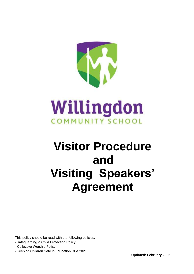

# Willingdon **COMMUNITY SCHOOL**

## **Visitor Procedure and Visiting Speakers' Agreement**

This policy should be read with the following policies:

- Safeguarding & Child Protection Policy
- Collective Worship Policy
- Keeping Children Safe in Education DFe 2021

**Updated: February 2022**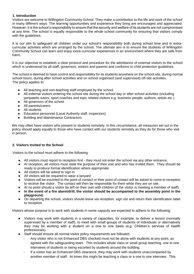#### **1. Introduction**

Visitors are welcome to Willingdon Community School. They make a contribution to the life and work of the school in many different ways. The learning opportunities and experience they bring are encouraged and appreciated. However, it is the school's responsibility to ensure that the security and welfare of its students are not compromised at any time. The school is equally responsible to the whole school community for ensuring that visitors comply with the quidelines.

It is our aim to safeguard all children under our school's responsibility both during school time and in extracurricular activities which are arranged by the school. The ultimate aim is to ensure the students of Willingdon Community School can learn and enjoy extra-curricular experiences in an environment where they are safe from harm.

It is our objective to establish a clear protocol and procedure for the admittance of external visitors to the school which is understood by all staff, governors, visitors and parents and conforms to child protection guidelines.

The school is deemed to have control and responsibility for its students anywhere on the school site, during normal school hours, during after school activities and on school organised (and supervised) off-site activities. The policy applies to:

- All teaching and non-teaching staff employed by the school
- All external visitors entering the school site during the school day or after school activities (including peripatetic tutors, sport coaches and topic related visitors e.g. business people, authors, artists etc.)
- All governors of the school
- All parents/carers
- All students
- Education personnel (Local Authority staff, inspectors)
- Building and Maintenance Contractors

We may often have visitors who present to students remotely. In this circumstance, all measures set out in the policy should apply equally to those who have contact with our students remotely as they do for those who visit in person.

#### **2. Visitors Invited to the School**

Visitors to the school must adhere to the following:

- All visitors must report to reception first they must not enter the school via any other entrance.
- At reception, all visitors must state the purpose of their visit and who has invited them. They should be ready to produce formal identification where appropriate.
- All visitors will be asked to sign in
- All visitors will be required to wear a lanyard
- Visitors will be escorted to the point of contact or their point of contact will be asked to come to reception to receive the visitor. The contact will then be responsible for them while they are on site.
- At no point should a visitor be left on their own with children (if the visitor is meeting a member of staff).
- **In the event of a fire alarm/drill, the visitor should be accompanied to the assembly point in the playground.**
- On departing the school, visitors should leave via reception, sign out and return their identification label to reception.

Visitors whose purpose is to work with students in some capacity are expected to adhere to the following:

- Visitors may work with students in a variety of capacities, for example, to deliver a lesson (normally supervised by a member of staff), to meet with small groups of students of individuals or alternatively they may be working with a student on a one to one basis (e.g. Children's services of health professionals).
- Staff should ensure all normal visitor policy requirements are followed.
	- Any visitor who is not Enhanced DBS checked must not be alone with students at any point, as agreed with the safeguarding team. This includes whole class or small group teaching, one to one interviews of students or being escorted by students around the building.
	- If a visitor has an Enhanced DBS clearance, they may work with students unaccompanied by another member of staff. At times this might be teaching a class or a one to one interview. This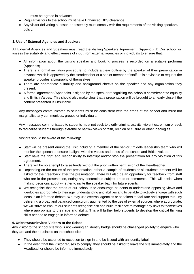must be agreed in advance.

- Regular visitors to the school must have Enhanced DBS clearance.
- Any visitor delivering a lesson or assembly must comply with the requirements of the visiting speakers' policy.

#### **3. Use of External Agencies and Speakers**

All External Agencies and Speakers must read the Visiting Speakers Agreement. (Appendix 1) Our school will assess the suitability and effectiveness of input from external agencies or individuals to ensure that:

- All information about the visiting speaker and booking process is recorded on a suitable proforma (Appendix)
- There is a formal invitation procedure, to include a clear outline by the speaker of their presentation in advance which is approved by the Headteacher or a senior member of staff. It is advisable to request the speaker provides a biography of themselves.
- There are appropriate suitability and background checks on the speaker and any organisation they present.
- A formal agreement (Appendix) is signed by the speaker recognising the school's commitment to equality and British Values. This should also make clear that a presentation will be brought to an early close if the content presented is unsuitable.

Any messages communicated to students must be consistent with the ethos of the school and must not marginalise any communities, groups or individuals.

Any messages communicated to students must not seek to glorify criminal activity, violent extremism or seek to radicalise students through extreme or narrow views of faith, religion or culture or other ideologies.

Visitors should be aware of the following:

- Staff will be present during the visit including a member of the senior / middle leadership team who will monitor the speech to ensure it aligns with the values and ethos of the school and British values.
- Staff have the right and responsibility to interrupt and/or stop the presentation for any violation of this agreement.
- There will be no attempt to raise funds without the prior written permission of the Headteacher.
- Depending on the nature of the presentation, either a sample of students or all students present will be asked for their feedback after the presentation. There will also be an opportunity for feedback from staff who are in the presentation, noting any contentious subject areas or comments. This will assist when making decisions about whether to invite the speaker back for future events.
- We recognise that the ethos of our school is to encourage students to understand opposing views and ideologies appropriate to their age, understanding and abilities and to be able to actively engage with such ideas in an informed debate. We may use external agencies or speakers to facilitate and support this. By delivering a broad and balanced curriculum, augmented by the use of external sources where appropriate, we will strive to ensure our students recognise risk and build resilience to manage any risks to themselves where appropriate to their age and ability. This will further help students to develop the critical thinking skills needed to engage in informed debate.

#### **4. Unknown/uninvited Visitors to the School**

Any visitor to the school site who is not wearing an identity badge should be challenged politely to enquire who they are and their business on the school site.

- They should be escorted to reception to sign in and be issued with an identity label.
- In the event that the visitor refuses to comply, they should be asked to leave the site immediately and the Headteacher should be informed immediately.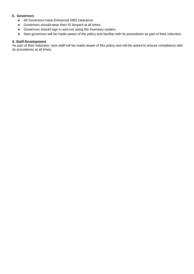#### **5. Governors**

- All Governors have Enhanced DBS clearance.
- Governors should wear their ID lanyard at all times.
- Governors should sign in and out using the Inventory system.
- New governors will be made aware of the policy and familiar with its procedures as part of their induction.

#### **6. Staff Development**

As part of their induction, new staff will be made aware of this policy and will be asked to ensure compliance with its procedures at all times.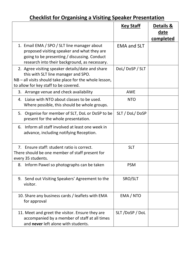## **Checklist for Organising a Visiting Speaker Presentation**

|                                                                                                                                                                                               | <u>Key Staff</u>   | <b>Details &amp;</b><br>date<br>completed |
|-----------------------------------------------------------------------------------------------------------------------------------------------------------------------------------------------|--------------------|-------------------------------------------|
| 1. Email EMA / SPO / SLT line manager about<br>proposed visiting speaker and what they are<br>going to be presenting / discussing. Conduct<br>research into their background, as necessary.   | <b>EMA and SLT</b> |                                           |
| 2. Agree visiting speaker details/date and share<br>this with SLT line manager and SPO.<br>$NB - all$ visits should take place for the whole lesson,<br>to allow for key staff to be covered. | DoL/DoSP/SLT       |                                           |
| 3. Arrange venue and check availability                                                                                                                                                       | <b>AWE</b>         |                                           |
| 4. Liaise with NTO about classes to be used.<br>Where possible, this should be whole groups.                                                                                                  | <b>NTO</b>         |                                           |
| Organise for member of SLT, DoL or DoSP to be<br>5.<br>present for the whole presentation.                                                                                                    | SLT / DoL/ DoSP    |                                           |
| 6. Inform all staff involved at least one week in<br>advance, including notifying Reception.                                                                                                  |                    |                                           |
| 7. Ensure staff: student ratio is correct.<br>There should be one member of staff present for<br>every 35 students.                                                                           | <b>SLT</b>         |                                           |
| 8. Inform Pawel so photographs can be taken                                                                                                                                                   | <b>PSM</b>         |                                           |
| 9. Send out Visiting Speakers' Agreement to the<br>visitor.                                                                                                                                   | SRO/SLT            |                                           |
| 10. Share any business cards / leaflets with EMA<br>for approval                                                                                                                              | EMA / NTO          |                                           |
| 11. Meet and greet the visitor. Ensure they are<br>accompanied by a member of staff at all times<br>and never left alone with students.                                                       | SLT/DoSP/DoL       |                                           |